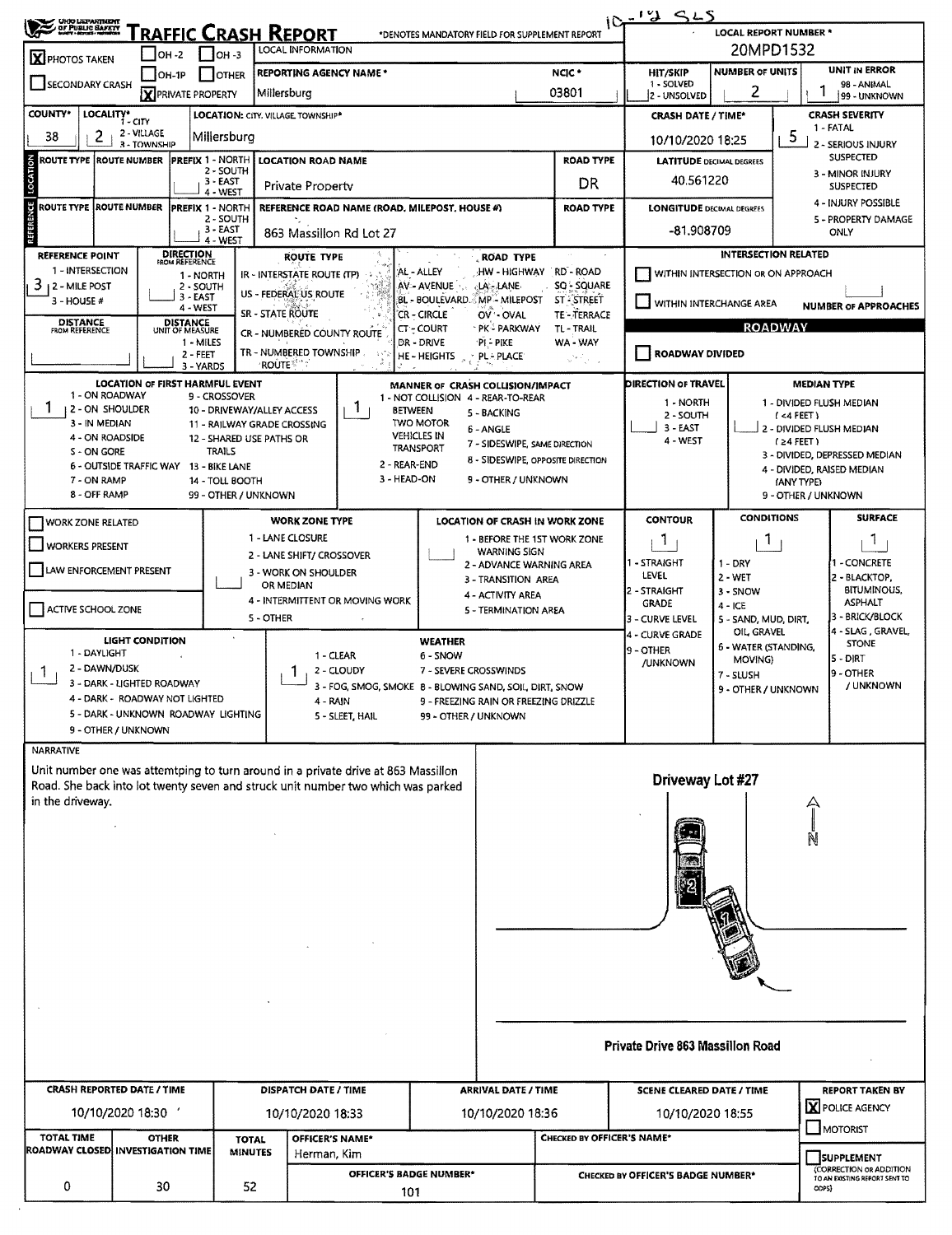| <b>CHO USPANTAGEM</b>                       |                                        |                                    | $10 - 125$                     |                                                           |                                                                                   |                                       |                                            |                                                                       |                                                         |                                                     |                                                     |                                              |  |  |  |
|---------------------------------------------|----------------------------------------|------------------------------------|--------------------------------|-----------------------------------------------------------|-----------------------------------------------------------------------------------|---------------------------------------|--------------------------------------------|-----------------------------------------------------------------------|---------------------------------------------------------|-----------------------------------------------------|-----------------------------------------------------|----------------------------------------------|--|--|--|
|                                             |                                        |                                    |                                | <b>RAFFIC CRASH REPORT</b>                                |                                                                                   |                                       |                                            | *DENOTES MANDATORY FIELD FOR SUPPLEMENT REPORT                        |                                                         | <b>LOCAL REPORT NUMBER *</b>                        |                                                     |                                              |  |  |  |
| <b>X</b> PHOTOS TAKEN                       | OH -2                                  |                                    | $\blacksquare$ OH -3           | <b>LOCAL INFORMATION</b>                                  |                                                                                   |                                       |                                            |                                                                       | 20MPD1532                                               |                                                     |                                                     |                                              |  |  |  |
| <b>SECONDARY CRASH</b>                      | $[OH-1P]$                              |                                    | <b>OTHER</b>                   |                                                           | <b>REPORTING AGENCY NAME*</b>                                                     | HIT/SKIP<br>1 - SOLVED                | <b>NUMBER OF UNITS</b>                     | <b>UNIT IN ERROR</b><br>98 - ANIMAL                                   |                                                         |                                                     |                                                     |                                              |  |  |  |
|                                             |                                        | X PRIVATE PROPERTY                 |                                | Millersburg                                               |                                                                                   | 2 - UNSOLVED                          | 2                                          |                                                                       | 99 - UNKNOWN                                            |                                                     |                                                     |                                              |  |  |  |
| <b>COUNTY*</b>                              | LOCALITY* CITY                         |                                    |                                | <b>LOCATION: CITY, VILLAGE TOWNSHIP*</b>                  |                                                                                   |                                       |                                            |                                                                       |                                                         | <b>CRASH SEVERITY</b><br><b>CRASH DATE / TIME*</b>  |                                                     |                                              |  |  |  |
| 38<br>2                                     | 2 - VILLAGE                            |                                    | Millersburg                    |                                                           |                                                                                   |                                       |                                            |                                                                       | 10/10/2020 18:25                                        |                                                     | 5                                                   | 1 - FATAL<br>2 - SERIOUS INJURY              |  |  |  |
| ROUTE TYPE  ROUTE NUMBER                    | 3 - TOWNSHIP                           | PREFIX 1 - NORTH                   |                                |                                                           | <b>LOCATION ROAD NAME</b>                                                         |                                       |                                            | <b>ROAD TYPE</b>                                                      |                                                         | <b>SUSPECTED</b><br><b>LATITUDE DECIMAL DEGREES</b> |                                                     |                                              |  |  |  |
| LOCATION                                    |                                        |                                    | 2 - SOUTH                      |                                                           |                                                                                   |                                       | 40.561220                                  | 3 - MINOR INJURY                                                      |                                                         |                                                     |                                                     |                                              |  |  |  |
|                                             |                                        |                                    | $3 - EAST$<br>4 - WEST         |                                                           | Private Property                                                                  |                                       |                                            | DR                                                                    |                                                         |                                                     |                                                     | <b>SUSPECTED</b>                             |  |  |  |
| <b>ROUTE TYPE</b>                           | <b>ROUTE NUMBER</b>                    | <b>PREFIX 1 - NORTH</b>            |                                |                                                           | REFERENCE ROAD NAME (ROAD, MILEPOST, HOUSE #)                                     |                                       | <b>ROAD TYPE</b>                           |                                                                       | 4 - INJURY POSSIBLE<br><b>LONGITUDE DECIMAL DEGREES</b> |                                                     |                                                     |                                              |  |  |  |
|                                             |                                        |                                    | 2 - SOUTH<br>3 - EAST          |                                                           | 863 Massillon Rd Lot 27                                                           |                                       |                                            |                                                                       | -81,908709                                              |                                                     |                                                     | 5 - PROPERTY DAMAGE<br>ONLY                  |  |  |  |
| <b>REFERENCE POINT</b>                      |                                        |                                    | 4 - WEST                       |                                                           |                                                                                   |                                       |                                            | $\sim$ $\sim$<br>$\sim$                                               |                                                         | <b>INTERSECTION RELATED</b>                         |                                                     |                                              |  |  |  |
| 1 - INTERSECTION                            |                                        | <b>DIRECTION</b><br>FROM REFERENCE |                                | IR - INTERSTATE ROUTE (TP)                                | <b>ROUTE TYPE</b>                                                                 | AL - ALLEY                            | <b>ROAD TYPE</b>                           | HW - HIGHWAY RD - ROAD                                                |                                                         | WITHIN INTERSECTION OR ON APPROACH                  |                                                     |                                              |  |  |  |
| 3<br>12 - MILE POST                         |                                        | 1 - NORTH<br>2 - SOUTH             |                                |                                                           |                                                                                   | AV-AVENUE                             | <b>LA - LANE</b>                           | SQ - SQUARE                                                           |                                                         |                                                     |                                                     |                                              |  |  |  |
| 3 - HOUSE #                                 |                                        | $3 - EAST$<br>4 - WEST             |                                | US - FEDERAL US ROUTE                                     |                                                                                   | BL - BOULEVARD. MP - MILEPOST         |                                            | <b>ST-STREET</b>                                                      | WITHIN INTERCHANGE AREA                                 |                                                     |                                                     | <b>NUMBER OF APPROACHES</b>                  |  |  |  |
| <b>DISTANCE</b><br>FROM REFERENCE           |                                        | DISTANCE<br>UNIT OF MEASURE        |                                | SR - STATE ROUTE                                          |                                                                                   | <b>CR - CIRCLE</b><br><b>CT-COURT</b> | OV OVAL<br>`PK≟ PARKWAY                    | TE-TERRACE<br>TL - TRAIL                                              |                                                         |                                                     | <b>ROADWAY</b>                                      |                                              |  |  |  |
|                                             |                                        | 1 - MILES                          |                                |                                                           | CR - NUMBERËD COUNTY ROUTE                                                        | DR - DRIVE                            | PI PIKE                                    | WA - WAY                                                              |                                                         |                                                     |                                                     |                                              |  |  |  |
|                                             |                                        | 2 - FEET<br>3 - YARDS              |                                | <b>ROUTE</b>                                              | TR - NUMBERED TOWNSHIP.<br>-147                                                   | <b>HE-HEIGHTS</b>                     | <b>PL-PLACE</b>                            | $\omega^{2\alpha/2}$ , $\gamma$ ,                                     | ROADWAY DIVIDED                                         |                                                     |                                                     |                                              |  |  |  |
|                                             | <b>LOCATION OF FIRST HARMFUL EVENT</b> |                                    |                                |                                                           |                                                                                   | MANNER OF CRASH COLLISION/IMPACT      |                                            |                                                                       | <b>DIRECTION OF TRAVEL</b>                              |                                                     |                                                     | <b>MEDIAN TYPE</b>                           |  |  |  |
| 1 - ON ROADWAY                              |                                        |                                    | 9 - CROSSOVER                  |                                                           |                                                                                   | 1 - NOT COLLISION 4 - REAR-TO-REAR    |                                            |                                                                       | 1 - NORTH                                               |                                                     |                                                     | 1 - DIVIDED FLUSH MEDIAN                     |  |  |  |
| 1<br><b>12-ON SHOULDER</b><br>3 - IN MEDIAN |                                        |                                    |                                | 10 - DRIVEWAY/ALLEY ACCESS<br>11 - RAILWAY GRADE CROSSING | Т.<br><b>BETWEEN</b>                                                              | <b>TWO MOTOR</b>                      | 5 - BACKING                                |                                                                       | 2 - SOUTH                                               |                                                     | $($ <4 FEET)                                        |                                              |  |  |  |
| 4 - ON ROADSIDE                             |                                        |                                    |                                | 12 - SHARED USE PATHS OR                                  |                                                                                   | <b>VEHICLES IN</b>                    | 6 - ANGLE<br>7 - SIDESWIPE, SAME DIRECTION |                                                                       | 3 - EAST<br>4 - WEST                                    |                                                     | (24 FET)                                            | 2 - DIVIDED FLUSH MEDIAN                     |  |  |  |
| S - ON GORE                                 |                                        |                                    | <b>TRAILS</b>                  |                                                           |                                                                                   | <b>TRANSPORT</b>                      |                                            | <b>8 - SIDESWIPE, OPPOSITE DIRECTION</b>                              |                                                         |                                                     |                                                     | 3 - DIVIDED, DEPRESSED MEDIAN                |  |  |  |
| 7 - ON RAMP                                 | 6 - OUTSIDE TRAFFIC WAY 13 - BIKE LANE |                                    | 14 - TOLL BOOTH                |                                                           | 2 - REAR-END<br>3 - HEAD-ON                                                       |                                       | 9 - OTHER / UNKNOWN                        |                                                                       |                                                         |                                                     | (ANY TYPE)                                          | 4 - DIVIDED, RAISED MEDIAN                   |  |  |  |
| 8 - OFF RAMP                                |                                        |                                    |                                | 99 - OTHER / UNKNOWN                                      |                                                                                   |                                       |                                            |                                                                       |                                                         |                                                     | 9 - OTHER / UNKNOWN                                 |                                              |  |  |  |
|                                             |                                        |                                    |                                |                                                           |                                                                                   |                                       |                                            |                                                                       | <b>CONTOUR</b>                                          | <b>CONDITIONS</b>                                   |                                                     | <b>SURFACE</b>                               |  |  |  |
| <b>WORK ZONE RELATED</b>                    |                                        |                                    |                                | 1 - LANE CLOSURE                                          | <b>WORK ZONE TYPE</b>                                                             |                                       |                                            | <b>LOCATION OF CRASH IN WORK ZONE</b><br>1 - BEFORE THE 1ST WORK ZONE |                                                         |                                                     |                                                     |                                              |  |  |  |
| <b>WORKERS PRESENT</b>                      |                                        |                                    |                                |                                                           | 2 - LANE SHIFT/ CROSSOVER                                                         |                                       | <b>WARNING SIGN</b>                        |                                                                       | <b>T</b>                                                |                                                     | T.<br>Т.                                            |                                              |  |  |  |
| LAW ENFORCEMENT PRESENT                     |                                        |                                    |                                | 3 - WORK ON SHOULDER                                      |                                                                                   |                                       | 2 - ADVANCE WARNING AREA                   |                                                                       | I - STRAIGHT<br>LEVEL                                   | 1 - DRY                                             | 1 - CONCRETE<br>2 - BLACKTOP,<br><b>BITUMINOUS,</b> |                                              |  |  |  |
|                                             |                                        |                                    |                                | OR MEDIAN                                                 |                                                                                   |                                       | 3 - TRANSITION AREA                        |                                                                       | 2 - STRAIGHT                                            | 2 - WET<br>3 - SNOW                                 |                                                     |                                              |  |  |  |
| ACTIVE SCHOOL ZONE                          |                                        |                                    |                                |                                                           | 4 - INTERMITTENT OR MOVING WORK                                                   |                                       | 4 - ACTIVITY AREA<br>5 - TERMINATION AREA  |                                                                       | <b>GRADE</b>                                            | $4 - ICE$                                           |                                                     | <b>ASPHALT</b>                               |  |  |  |
|                                             |                                        |                                    |                                | 5 - OTHER                                                 |                                                                                   |                                       |                                            |                                                                       |                                                         | 5 - SAND, MUD, DIRT,<br>OIL GRAVEL                  |                                                     | 3 - BRICK/BLOCK<br>4 - SLAG , GRAVEL,        |  |  |  |
|                                             | <b>LIGHT CONDITION</b>                 |                                    |                                |                                                           |                                                                                   | <b>WEATHER</b>                        |                                            |                                                                       | 4 - CURVE GRADE<br>9 - OTHER                            | 6 - WATER (STANDING,                                |                                                     | <b>STONE</b>                                 |  |  |  |
| 1 - DAYLIGHT<br>2 - DAWN/DUSK               |                                        |                                    |                                |                                                           | 1 - CLEAR                                                                         | 6 - SNOW                              |                                            |                                                                       | /UNKNOWN                                                | MOVING)                                             |                                                     | 5 - DIRT                                     |  |  |  |
| $\mathbf{I}$                                | 3 - DARK - LIGHTED ROADWAY             |                                    |                                |                                                           | 2 - CLOUDY<br>3 - FOG, SMOG, SMOKE 8 - BLOWING SAND, SOIL, DIRT, SNOW             | 7 - SEVERE CROSSWINDS                 |                                            |                                                                       |                                                         | 7 - SLUSH                                           |                                                     | 9 - OTHER<br>/ UNKNOWN                       |  |  |  |
|                                             | 4 - DARK - ROADWAY NOT LIGHTED         |                                    |                                |                                                           | 4 - RAIN                                                                          |                                       |                                            | 9 - FREEZING RAIN OR FREEZING DRIZZLE                                 |                                                         | 9 - OTHER / UNKNOWN                                 |                                                     |                                              |  |  |  |
|                                             | 5 - DARK - UNKNOWN ROADWAY LIGHTING    |                                    |                                |                                                           | 5 - SLEET, HAIL                                                                   | 99 - OTHER / UNKNOWN                  |                                            |                                                                       |                                                         |                                                     |                                                     |                                              |  |  |  |
|                                             | 9 - OTHER / UNKNOWN                    |                                    |                                |                                                           |                                                                                   |                                       |                                            |                                                                       |                                                         |                                                     |                                                     |                                              |  |  |  |
| <b>NARRATIVE</b>                            |                                        |                                    |                                |                                                           |                                                                                   |                                       |                                            |                                                                       |                                                         |                                                     |                                                     |                                              |  |  |  |
|                                             |                                        |                                    |                                |                                                           | Unit number one was attemtping to turn around in a private drive at 863 Massillon |                                       |                                            |                                                                       | Driveway Lot #27                                        |                                                     |                                                     |                                              |  |  |  |
| in the driveway.                            |                                        |                                    |                                |                                                           | Road. She back into lot twenty seven and struck unit number two which was parked  |                                       |                                            |                                                                       |                                                         |                                                     |                                                     |                                              |  |  |  |
|                                             |                                        |                                    |                                |                                                           |                                                                                   |                                       |                                            |                                                                       |                                                         |                                                     |                                                     |                                              |  |  |  |
|                                             |                                        |                                    |                                |                                                           |                                                                                   |                                       |                                            |                                                                       |                                                         |                                                     |                                                     |                                              |  |  |  |
|                                             |                                        |                                    |                                |                                                           |                                                                                   |                                       |                                            |                                                                       |                                                         |                                                     |                                                     |                                              |  |  |  |
|                                             |                                        |                                    |                                |                                                           |                                                                                   |                                       |                                            |                                                                       |                                                         |                                                     |                                                     |                                              |  |  |  |
|                                             |                                        |                                    |                                |                                                           |                                                                                   |                                       |                                            |                                                                       |                                                         |                                                     |                                                     |                                              |  |  |  |
|                                             |                                        |                                    |                                |                                                           |                                                                                   |                                       |                                            |                                                                       |                                                         |                                                     |                                                     |                                              |  |  |  |
|                                             |                                        |                                    |                                |                                                           |                                                                                   |                                       |                                            |                                                                       |                                                         |                                                     |                                                     |                                              |  |  |  |
|                                             |                                        |                                    |                                |                                                           |                                                                                   |                                       |                                            |                                                                       |                                                         |                                                     |                                                     |                                              |  |  |  |
|                                             |                                        |                                    |                                |                                                           |                                                                                   |                                       |                                            |                                                                       |                                                         |                                                     |                                                     |                                              |  |  |  |
|                                             |                                        |                                    |                                |                                                           |                                                                                   |                                       |                                            |                                                                       |                                                         |                                                     |                                                     |                                              |  |  |  |
|                                             |                                        |                                    |                                |                                                           |                                                                                   |                                       |                                            |                                                                       |                                                         |                                                     |                                                     |                                              |  |  |  |
|                                             |                                        |                                    |                                |                                                           |                                                                                   |                                       |                                            |                                                                       |                                                         |                                                     |                                                     |                                              |  |  |  |
|                                             |                                        |                                    |                                |                                                           |                                                                                   |                                       |                                            |                                                                       | Private Drive 863 Massillon Road                        |                                                     |                                                     |                                              |  |  |  |
|                                             |                                        |                                    |                                |                                                           |                                                                                   |                                       |                                            |                                                                       |                                                         |                                                     |                                                     |                                              |  |  |  |
|                                             |                                        |                                    |                                |                                                           |                                                                                   |                                       |                                            |                                                                       |                                                         |                                                     |                                                     |                                              |  |  |  |
| <b>CRASH REPORTED DATE / TIME</b>           |                                        |                                    |                                |                                                           | <b>DISPATCH DATE / TIME</b>                                                       |                                       | <b>ARRIVAL DATE / TIME</b>                 |                                                                       | <b>SCENE CLEARED DATE / TIME</b>                        |                                                     |                                                     | <b>REPORT TAKEN BY</b>                       |  |  |  |
|                                             | 10/10/2020 18:30                       |                                    |                                |                                                           | 10/10/2020 18:33                                                                  |                                       | 10/10/2020 18:36                           |                                                                       | 10/10/2020 18:55                                        |                                                     |                                                     | <b>X</b> POLICE AGENCY                       |  |  |  |
| <b>TOTAL TIME</b>                           | <b>OTHER</b>                           |                                    |                                |                                                           | OFFICER'S NAME*                                                                   |                                       |                                            | CHECKED BY OFFICER'S NAME*                                            |                                                         |                                                     |                                                     | MOTORIST                                     |  |  |  |
| ROADWAY CLOSED INVESTIGATION TIME           |                                        |                                    | <b>TOTAL</b><br><b>MINUTES</b> |                                                           | Herman, Kim                                                                       |                                       |                                            |                                                                       |                                                         |                                                     |                                                     |                                              |  |  |  |
|                                             |                                        |                                    |                                |                                                           | OFFICER'S BADGE NUMBER*                                                           |                                       |                                            |                                                                       | <b>CHECKED BY OFFICER'S BADGE NUMBER*</b>               |                                                     |                                                     | <b>SUPPLEMENT</b><br>(CORRECTION OR ADDITION |  |  |  |
| 0                                           | 30                                     |                                    | 52                             |                                                           | 101                                                                               |                                       |                                            |                                                                       |                                                         |                                                     |                                                     | TO AN EXISTING REPORT SENT TO<br>ODPS)       |  |  |  |
|                                             |                                        |                                    |                                |                                                           |                                                                                   |                                       |                                            |                                                                       |                                                         |                                                     |                                                     |                                              |  |  |  |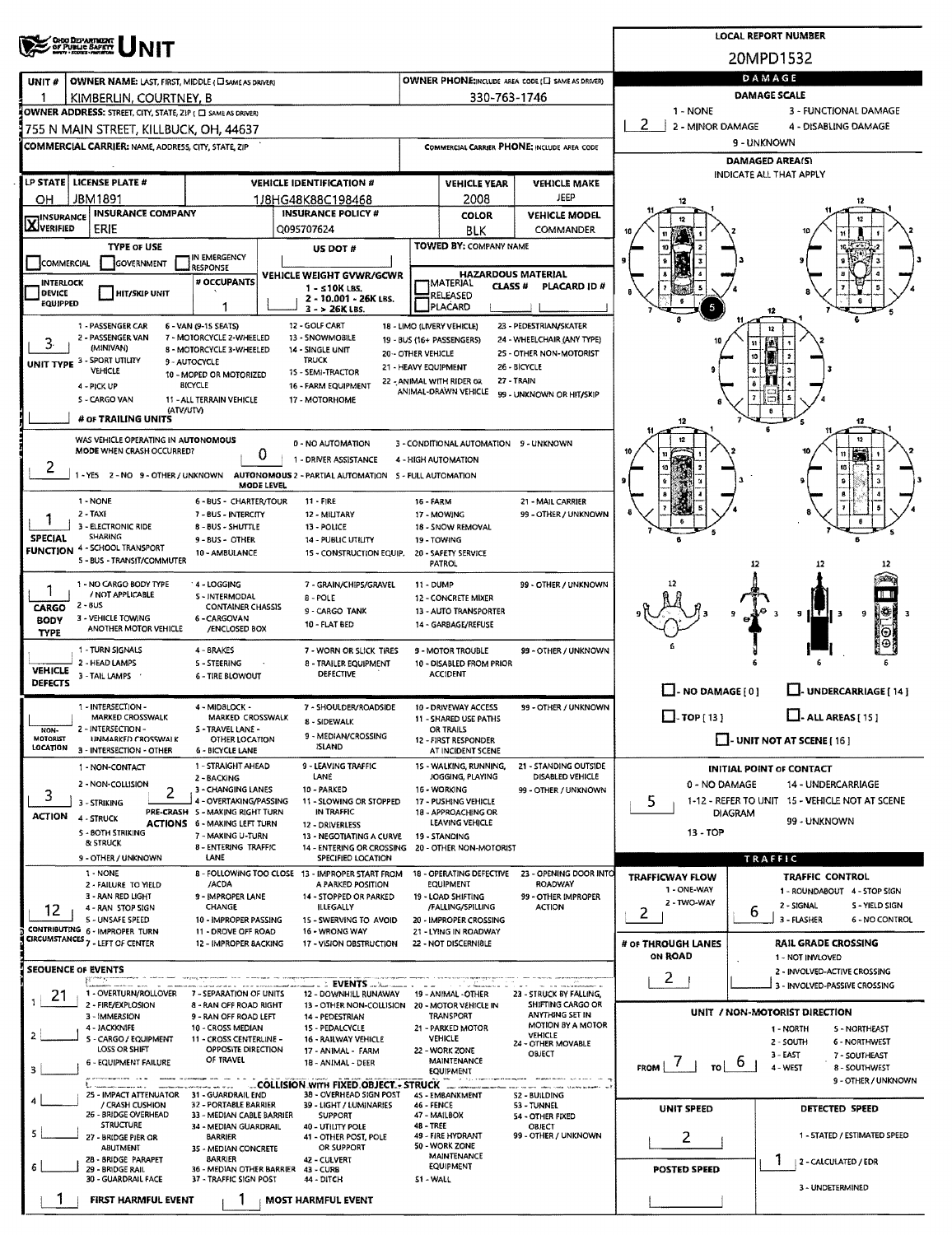|                                                                                                                                                                                                                                                          | <b>CHOO DESPARTMENT</b><br>OF PUBLIC BAFETY                      |                                                           | <b>LOCAL REPORT NUMBER</b> |                                                                                |                           |                                                     |                                             |                                   |                                                                  |  |  |  |  |
|----------------------------------------------------------------------------------------------------------------------------------------------------------------------------------------------------------------------------------------------------------|------------------------------------------------------------------|-----------------------------------------------------------|----------------------------|--------------------------------------------------------------------------------|---------------------------|-----------------------------------------------------|---------------------------------------------|-----------------------------------|------------------------------------------------------------------|--|--|--|--|
|                                                                                                                                                                                                                                                          |                                                                  |                                                           | 20MPD1532                  |                                                                                |                           |                                                     |                                             |                                   |                                                                  |  |  |  |  |
| UNIT#                                                                                                                                                                                                                                                    | OWNER NAME: LAST, FIRST, MIDDLE (CI SAME AS DRIVER)              |                                                           | DAMAGE                     |                                                                                |                           |                                                     |                                             |                                   |                                                                  |  |  |  |  |
|                                                                                                                                                                                                                                                          | KIMBERLIN, COURTNEY, B                                           |                                                           |                            |                                                                                |                           | 330-763-1746                                        |                                             |                                   | DAMAGE SCALE                                                     |  |  |  |  |
|                                                                                                                                                                                                                                                          | OWNER ADDRESS: STREET, CITY, STATE, ZIP ( C) SAME AS DRIVER)     |                                                           |                            |                                                                                |                           |                                                     |                                             | 1 - NONE<br>2<br>2 - MINOR DAMAGE | 3 - FUNCTIONAL DAMAGE<br>4 - DISABLING DAMAGE                    |  |  |  |  |
|                                                                                                                                                                                                                                                          | 755 N MAIN STREET, KILLBUCK, OH, 44637                           |                                                           |                            |                                                                                |                           |                                                     |                                             |                                   | 9 - UNKNOWN                                                      |  |  |  |  |
|                                                                                                                                                                                                                                                          | <b>COMMERCIAL CARRIER: NAME, ADDRESS, CITY, STATE, ZIP</b>       |                                                           |                            |                                                                                |                           |                                                     | COMMERCIAL CARRIER PHONE, INCLUDE AREA CODE | <b>DAMAGED AREA(S)</b>            |                                                                  |  |  |  |  |
|                                                                                                                                                                                                                                                          | LP STATE   LICENSE PLATE #                                       |                                                           |                            | <b>VEHICLE IDENTIFICATION #</b>                                                |                           | <b>VEHICLE YEAR</b>                                 | <b>VEHICLE MAKE</b>                         | INDICATE ALL THAT APPLY           |                                                                  |  |  |  |  |
| OH.                                                                                                                                                                                                                                                      | JBM1891                                                          |                                                           |                            | 1/8HG48K88C198468                                                              |                           | 2008                                                | JEEP                                        | 12                                |                                                                  |  |  |  |  |
| <b>X</b> INSURANCE                                                                                                                                                                                                                                       | <b>INSURANCE COMPANY</b>                                         |                                                           |                            | <b>INSURANCE POLICY #</b>                                                      |                           | <b>COLOR</b>                                        | <b>VEHICLE MODEL</b>                        |                                   |                                                                  |  |  |  |  |
|                                                                                                                                                                                                                                                          | ERIE                                                             |                                                           |                            | Q095707624                                                                     |                           | BLK                                                 | COMMANDER                                   |                                   |                                                                  |  |  |  |  |
|                                                                                                                                                                                                                                                          | <b>TYPE OF USE</b>                                               | IN EMERGENCY                                              |                            | US DOT #                                                                       |                           | <b>TOWED BY: COMPANY NAME</b>                       |                                             |                                   |                                                                  |  |  |  |  |
| COMMERCIAL                                                                                                                                                                                                                                               | GOVERNMENT                                                       | <b>RESPONSE</b><br># OCCUPANTS                            |                            | <b>VEHICLE WEIGHT GVWR/GCWR</b>                                                | <b>HAZARDOUS MATERIAL</b> |                                                     |                                             |                                   |                                                                  |  |  |  |  |
| <b>INTERLOCK</b><br><b>DEVICE</b>                                                                                                                                                                                                                        | HIT/SKIP UNIT                                                    |                                                           |                            | $1 - 510K$ LBS.<br>2 - 10.001 - 26K LBS.                                       |                           | <b>TMATERIAL</b><br><b>CLASS #</b><br>RELEASED      | PLACARD ID#                                 |                                   |                                                                  |  |  |  |  |
| EQUIPPED                                                                                                                                                                                                                                                 |                                                                  |                                                           |                            | $3 - 26K$ LBS.                                                                 |                           | PLACARD                                             |                                             |                                   |                                                                  |  |  |  |  |
| 12 - GOLF CART<br>1 - PASSENGER CAR<br>6 - VAN (9-15 SEATS)<br>18 - LIMO (LIVERY VEHICLE)<br>23 - PEDESTRIAN/SKATER<br>12<br>2 - PASSENGER VAN<br>7 - MOTORCYCLE 2-WHEELED<br>13 - SNOWMOBILE<br>24 - WHEELCHAIR (ANY TYPE)<br>19 - BUS (16+ PASSENGERS) |                                                                  |                                                           |                            |                                                                                |                           |                                                     |                                             |                                   |                                                                  |  |  |  |  |
| 3.                                                                                                                                                                                                                                                       | (MINIVAN)                                                        | 8 - MOTORCYCLE 3-WHEELED                                  |                            | 14 - SINGLE UNIT<br><b>TRUCK</b>                                               | <b>20 - OTHER VEHICLE</b> |                                                     | 25 - OTHER NON-MOTORIST                     |                                   | 10                                                               |  |  |  |  |
|                                                                                                                                                                                                                                                          | UNIT TYPE 3 - SPORT UTILITY<br><b>AEHICLE</b>                    | 9 - AUTOCYCLE<br>10 - MOPED OR MOTORIZED                  |                            | 15 - SEMI-TRACTOR                                                              | 21 - HEAVY EQUIPMENT      |                                                     | 26 - BICYCLE                                |                                   |                                                                  |  |  |  |  |
|                                                                                                                                                                                                                                                          | 4 - PICK UP<br>S - CARGO VAN                                     | <b>BICYCLE</b><br>11 - ALL TERRAIN VEHICLE                |                            | 16 - FARM EQUIPMENT<br>17 - MOTORHOME                                          |                           | 22 - ANIMAL WITH RIDER OR<br>ANIMAL-DRAWN VEHICLE   | 27 - TRAIN<br>99 - UNKNOWN OR HIT/SKIP      |                                   |                                                                  |  |  |  |  |
|                                                                                                                                                                                                                                                          | (ATV/UTV)                                                        |                                                           |                            |                                                                                |                           |                                                     |                                             |                                   |                                                                  |  |  |  |  |
|                                                                                                                                                                                                                                                          | # OF TRAILING UNITS                                              |                                                           |                            |                                                                                |                           |                                                     |                                             | 12                                | 12                                                               |  |  |  |  |
|                                                                                                                                                                                                                                                          | WAS VEHICLE OPERATING IN AUTONOMOUS<br>MODE WHEN CRASH OCCURRED? |                                                           | 0                          | 0 - NO AUTOMATION                                                              |                           | 3 - CONDITIONAL AUTOMATION 9 - UNKNOWN              |                                             |                                   |                                                                  |  |  |  |  |
| 2                                                                                                                                                                                                                                                        | -YES 2-NO 9-OTHER/UNKNOWN                                        |                                                           |                            | 1 - DRIVER ASSISTANCE<br>AUTONOMOUS 2 - PARTIAL AUTOMATION 5 - FULL AUTOMATION |                           | 4 - HIGH AUTOMATION                                 |                                             |                                   |                                                                  |  |  |  |  |
|                                                                                                                                                                                                                                                          |                                                                  |                                                           | MODE LEVEL                 |                                                                                |                           |                                                     |                                             |                                   |                                                                  |  |  |  |  |
|                                                                                                                                                                                                                                                          | 1 - NONE<br>2 - TAXI                                             | 6 - BUS - CHARTER/TOUR<br>7 - BUS - INTERCITY             |                            | 11 FIRE<br>12 - MILITARY                                                       | 16 - FARM                 | 17 - MOWING                                         | 21 - MAIL CARRIER<br>99 - OTHER / UNKNOWN   |                                   |                                                                  |  |  |  |  |
|                                                                                                                                                                                                                                                          | 3 - ELECTRONIC RIDE<br><b>SHARING</b>                            | 8 - BUS - SHUTTLE                                         |                            | 13 - POLICE                                                                    |                           | 18 - SNOW REMOVAL                                   |                                             |                                   |                                                                  |  |  |  |  |
| <b>SPECIAL</b><br><b>FUNCTION</b>                                                                                                                                                                                                                        | 4 - SCHOOL TRANSPORT                                             | 9 - BUS - OTHER<br>10 - AMBULANCE                         |                            | <b>14 - PUBLIC UTILITY</b><br>15 - CONSTRUCTION EQUIP.                         |                           | 19 - TOWING<br>20 - SAFETY SERVICE                  |                                             |                                   |                                                                  |  |  |  |  |
|                                                                                                                                                                                                                                                          | 5 - BUS - TRANSIT/COMMUTER                                       |                                                           |                            |                                                                                |                           | PATROL                                              |                                             |                                   | 12                                                               |  |  |  |  |
|                                                                                                                                                                                                                                                          | 1 - NO CARGO BODY TYPE<br>/ NOT APPLICABLE                       | 4 - LOGGING<br>S - INTERMODAL                             |                            | 7 - GRAIN/CHIPS/GRAVEL                                                         | $11 - DUMP$               |                                                     | 99 - OTHER / UNKNOWN                        |                                   |                                                                  |  |  |  |  |
| CARGO                                                                                                                                                                                                                                                    | $2 - 8US$                                                        | <b>CONTAINER CHASSIS</b>                                  |                            | $8 - POLE$<br>9 - CARGO TANK                                                   |                           | <b>12 - CONCRETE MIXER</b><br>13 - AUTO TRANSPORTER |                                             |                                   | ₩<br>9<br>9<br>-3<br>-3                                          |  |  |  |  |
| <b>BODY</b><br><b>TYPE</b>                                                                                                                                                                                                                               | 3 - VEHICLE TOWING<br>ANOTHER MOTOR VEHICLE                      | 6 - CARGOVAN<br>/ENCLOSED BOX                             |                            | 10 - FLAT BED                                                                  |                           | 14 - GARBAGE/REFUSE                                 |                                             |                                   | Θ                                                                |  |  |  |  |
|                                                                                                                                                                                                                                                          | 1 - TURN SIGNALS                                                 | 4 - BRAKES                                                |                            | 7 - WORN OR SLICK TIRES                                                        |                           | <b>9 - MOTOR TROUBLE</b>                            | 99 - OTHER / UNKNOWN                        |                                   |                                                                  |  |  |  |  |
| <b>VEHICLE</b>                                                                                                                                                                                                                                           | 2 - HEAD LAMPS<br>3 - TAIL LAMPS                                 | 5 - STEERING<br><b>6 - TIRE BLOWOUT</b>                   |                            | 8 - TRAILER EQUIPMENT<br>DEFECTIVE                                             |                           | 10 - DISABLED FROM PRIOR<br><b>ACCIDENT</b>         |                                             |                                   |                                                                  |  |  |  |  |
| DEFECTS                                                                                                                                                                                                                                                  |                                                                  |                                                           |                            |                                                                                |                           |                                                     |                                             | $\Box$ - NO DAMAGE [0]            | U-UNDERCARRIAGE [14]                                             |  |  |  |  |
|                                                                                                                                                                                                                                                          | 1 - INTERSECTION -<br>MARKED CROSSWALK                           | 4 - MIDBLOCK -<br>MARKED CROSSWALK                        |                            | 7 - SHOULDER/ROADSIDE                                                          |                           | 10 - DRIVEWAY ACCESS                                | 99 - OTHER / UNKNOWN                        | $\Box$ -TOP [13]                  | $\Box$ - ALL AREAS [ 15 ]                                        |  |  |  |  |
| NON-                                                                                                                                                                                                                                                     | 2 - INTERSECTION -                                               | S-TRAVEL LANE -                                           |                            | 8 - SIDEWALK<br>9 - MEDIAN/CROSSING                                            |                           | 11 - SHARED USE PATHS<br>OR TRAILS                  |                                             |                                   |                                                                  |  |  |  |  |
| MOTORIST<br>LOCATION                                                                                                                                                                                                                                     | UNMARKED CROSSWALK<br>3 - INTERSECTION - OTHER                   | OTHER LOCATION<br><b>6 - BICYCLE LANE</b>                 |                            | <b>ISLAND</b>                                                                  |                           | 12 - FIRST RESPONDER<br>AT INCIDENT SCENE           |                                             |                                   | $\Box$ - UNIT NOT AT SCENE [ 16 ]                                |  |  |  |  |
|                                                                                                                                                                                                                                                          | 1 - NON-CONTACT                                                  | 1 - STRAIGHT AHEAD                                        |                            | 9 - LEAVING TRAFFIC                                                            |                           | 15 - WALKING, RUNNING,<br>JOGGING, PLAYING          | 21 - STANDING OUTSIDE                       |                                   | <b>INITIAL POINT OF CONTACT</b>                                  |  |  |  |  |
| 3                                                                                                                                                                                                                                                        | 2 - NON-COLLISION<br>2                                           | 2 - BACKING<br>3 - CHANGING LANES                         |                            | LANE<br>10 - PARKED                                                            |                           | 16 - WORKING                                        | DISABLED VEHICLE<br>99 - OTHER / UNKNOWN    | 0 - NO DAMAGE                     | 14 - UNDERCARRIAGE                                               |  |  |  |  |
|                                                                                                                                                                                                                                                          | 3 - STRIKING                                                     | 4 - OVERTAKING/PASSING<br>PRE-CRASH 5 - MAKING RIGHT TURN |                            | 11 - SLOWING OR STOPPED<br>IN TRAFFIC                                          |                           | 17 - PUSHING VEHICLE<br>18 - APPROACHING OR         |                                             | 5                                 | 1-12 - REFER TO UNIT 15 - VEHICLE NOT AT SCENE<br><b>DIAGRAM</b> |  |  |  |  |
| <b>ACTION</b>                                                                                                                                                                                                                                            | 4 - STRUCK<br><b>S-BOTH STRIKING</b>                             | <b>ACTIONS 6 - MAKING LEFT TURN</b>                       |                            | 12 - DRIVERLESS                                                                |                           | LEAVING VEHICLE                                     |                                             | 13 - TOP                          | 99 - UNKNOWN                                                     |  |  |  |  |
|                                                                                                                                                                                                                                                          | & STRUCK                                                         | 7 - MAKING U-TURN<br><b>B-ENTERING TRAFFIC</b>            |                            | 13 - NEGOTIATING A CURVE<br>14 - ENTERING OR CROSSING 20 - OTHER NON-MOTORIST  |                           | 19 - STANDING                                       |                                             |                                   |                                                                  |  |  |  |  |
|                                                                                                                                                                                                                                                          | 9 - OTHER / UNKNOWN<br>1 - NONE                                  | LANE                                                      |                            | SPECIFIED LOCATION<br>8 - FOLLOWING TOO CLOSE 13 - IMPROPER START FROM         |                           | 18 - OPERATING DEFECTIVE                            | 23 - OPENING DOOR INTO                      |                                   | TRAFFIC                                                          |  |  |  |  |
|                                                                                                                                                                                                                                                          | 2 - FAILURE TO YIELD                                             | /ACDA                                                     |                            | A PARKED POSITION                                                              |                           | <b>EQUIPMENT</b>                                    | ROADWAY                                     | TRAFFICWAY FLOW<br>1 - ONE WAY    | <b>TRAFFIC CONTROL</b><br>1 - ROUNDABOUT 4 - STOP SIGN           |  |  |  |  |
| 12                                                                                                                                                                                                                                                       | 3 - RAN RED LIGHT<br>4 - RAN STOP SIGN                           | 9 - IMPROPER LANE<br>CHANGE                               |                            | 14 - STOPPED OR PARKED<br><b>ILLEGALLY</b>                                     |                           | 19 - LOAD SHIFTING<br>/FALLING/SPILLING             | 99 - OTHER IMPROPER<br>ACTION               | 2 - TWO-WAY<br>2                  | 2 - SIGNAL<br>S - YIELD SIGN<br>6                                |  |  |  |  |
|                                                                                                                                                                                                                                                          | 5 - UNSAFE SPEED<br>CONTRIBUTING 6 - IMPROPER TURN               | 10 - IMPROPER PASSING<br>11 - DROVE OFF ROAD              |                            | 15 - SWERVING TO AVOID<br>16 - WRONG WAY                                       |                           | 20 - IMPROPER CROSSING<br>21 - LYING IN ROADWAY     |                                             |                                   | 3 - FLASHER<br><b>6 - NO CONTROL</b>                             |  |  |  |  |
|                                                                                                                                                                                                                                                          | CIRCUMSTANCES 7 - LEFT OF CENTER                                 | 12 - IMPROPER BACKING                                     |                            | 17 - VISION OBSTRUCTION                                                        |                           | 22 - NOT DISCERNIBLE                                |                                             | # OF THROUGH LANES                | <b>RAIL GRADE CROSSING</b>                                       |  |  |  |  |
|                                                                                                                                                                                                                                                          | <b>SEOUENCE OF EVENTS</b>                                        |                                                           |                            |                                                                                |                           |                                                     |                                             | <b>ON ROAD</b>                    | 1 - NOT INVLOVED<br>2 - INVOLVED-ACTIVE CROSSING                 |  |  |  |  |
|                                                                                                                                                                                                                                                          | person er<br>1 - OVERTURN/ROLLOVER                               | 7 - SEPARATION OF UNITS                                   |                            | : EVENTS<br>12 - DOWNHILL RUNAWAY                                              |                           | 19 - ANIMAL -OTHER                                  | 23 - STRUCK BY FALLING,                     | $\mathbf{2}$                      | 3 - INVOLVED-PASSIVE CROSSING                                    |  |  |  |  |
| 21                                                                                                                                                                                                                                                       | 2 - FIRE/EXPLOSION                                               | 8 - RAN OFF ROAD RIGHT                                    |                            | 13 - OTHER NON-COLLISION 20 - MOTOR VEHICLE IN                                 |                           |                                                     | SHIFTING CARGO OR                           |                                   | UNIT / NON-MOTORIST DIRECTION                                    |  |  |  |  |
|                                                                                                                                                                                                                                                          | 3 - IMMERSION<br>4 - JACKKNIFE                                   | 9 - RAN OFF ROAD LEFT<br>10 - CROSS MEDIAN                |                            | 14 - PEDESTRIAN<br>15 - PEDALCYCLE                                             |                           | TRANSPORT<br>21 - PARKED MOTOR                      | ANYTHING SET IN<br>MOTION BY A MOTOR        |                                   | 1 - NORTH<br>S-NORTHEAST                                         |  |  |  |  |
| 2                                                                                                                                                                                                                                                        | 5 - CARGO / EQUIPMENT<br>LOSS OR SHIFT                           | 11 - CROSS CENTERLINE -<br><b>OPPOSITE DIRECTION</b>      |                            | <b>16 - RAILWAY VEHICLE</b><br>17 - ANIMAL - FARM                              |                           | <b>AEHICLE</b><br>22 - WORK ZONE                    | <b>VEHICLE</b><br>24 - OTHER MOVABLE        |                                   | 2 - SOUTH<br><b>6 - NORTHWEST</b>                                |  |  |  |  |
| 3                                                                                                                                                                                                                                                        | 6 - EQUIPMENT FAILURE                                            | OF TRAVEL                                                 |                            | 18 - ANIMAL - DEER                                                             |                           | MAINTENANCE<br>EQUIPMENT                            | OBJECT                                      | $FROM$ $7$<br>TO !                | $3 - EAST$<br>7 - SOUTHEAST<br>b<br>4 - WEST<br>8 - SOUTHWEST    |  |  |  |  |
|                                                                                                                                                                                                                                                          | <b>Service Advisers</b>                                          |                                                           |                            | COLLISION WITH FIXED OBJECT - STRUCK                                           |                           | in the case                                         | sales contact the big acquired              |                                   | 9 - OTHER / UNKNOWN                                              |  |  |  |  |
| 4                                                                                                                                                                                                                                                        | 25 - IMPACT ATTENUATOR 31 - GUARDRAIL END<br>/ CRASH CUSHION     | 32 - PORTABLE BARRIER                                     |                            | 38 - OVERHEAD SIGN POST<br>39 - LIGHT / LUMINARIES                             | 46 - FENCE                | 45 - EMBANKMENT                                     | <b>S2 - BUILDING</b><br>53 - TUNNEL         | <b>UNIT SPEED</b>                 | DETECTED SPEED                                                   |  |  |  |  |
|                                                                                                                                                                                                                                                          | 26 - BRIDGE OVERHEAD<br><b>STRUCTURE</b>                         | 33 - MEDIAN CABLE BARRIER<br>34 - MEDIAN GUARDRAIL        |                            | <b>SUPPORT</b><br>40 - UTILITY POLE                                            | <b>48 - TREE</b>          | 47 - MAILBOX                                        | 54 - OTHER FIXED<br>OBJECT                  |                                   |                                                                  |  |  |  |  |
| 5                                                                                                                                                                                                                                                        | 27 - BRIDGE PIER OR<br>ABUTMENT                                  | <b>BARRIER</b><br>35 - MEDIAN CONCRETE                    |                            | 41 - OTHER POST, POLE<br>OR SUPPORT                                            |                           | 49 - FIRE HYDRANT<br>50 - WORK ZONE                 | 99 - OTHER / UNKNOWN                        | 2                                 | 1 - STATED / ESTIMATED SPEED                                     |  |  |  |  |
| 6                                                                                                                                                                                                                                                        | 28 - BRIDGE PARAPET                                              | <b>BARRIER</b><br>36 - MEDIAN OTHER BARRIER               |                            | 42 - CULVERT                                                                   |                           | <b>MAINTENANCE</b><br>EQUIPMENT                     |                                             |                                   | 2 - CALCULATED / EDR                                             |  |  |  |  |
|                                                                                                                                                                                                                                                          | 29 - BRIDGE RAIL<br>30 - GUARDRAIL FACE                          | 37 - TRAFFIC SIGN POST                                    |                            | 43 - CURB<br>44 - DITCH                                                        | 51 - WALL                 |                                                     |                                             | <b>POSTED SPEED</b>               | 3 - UNDETERMINED                                                 |  |  |  |  |
|                                                                                                                                                                                                                                                          | FIRST HARMFUL EVENT                                              |                                                           |                            | <b>MOST HARMFUL EVENT</b>                                                      |                           |                                                     |                                             |                                   |                                                                  |  |  |  |  |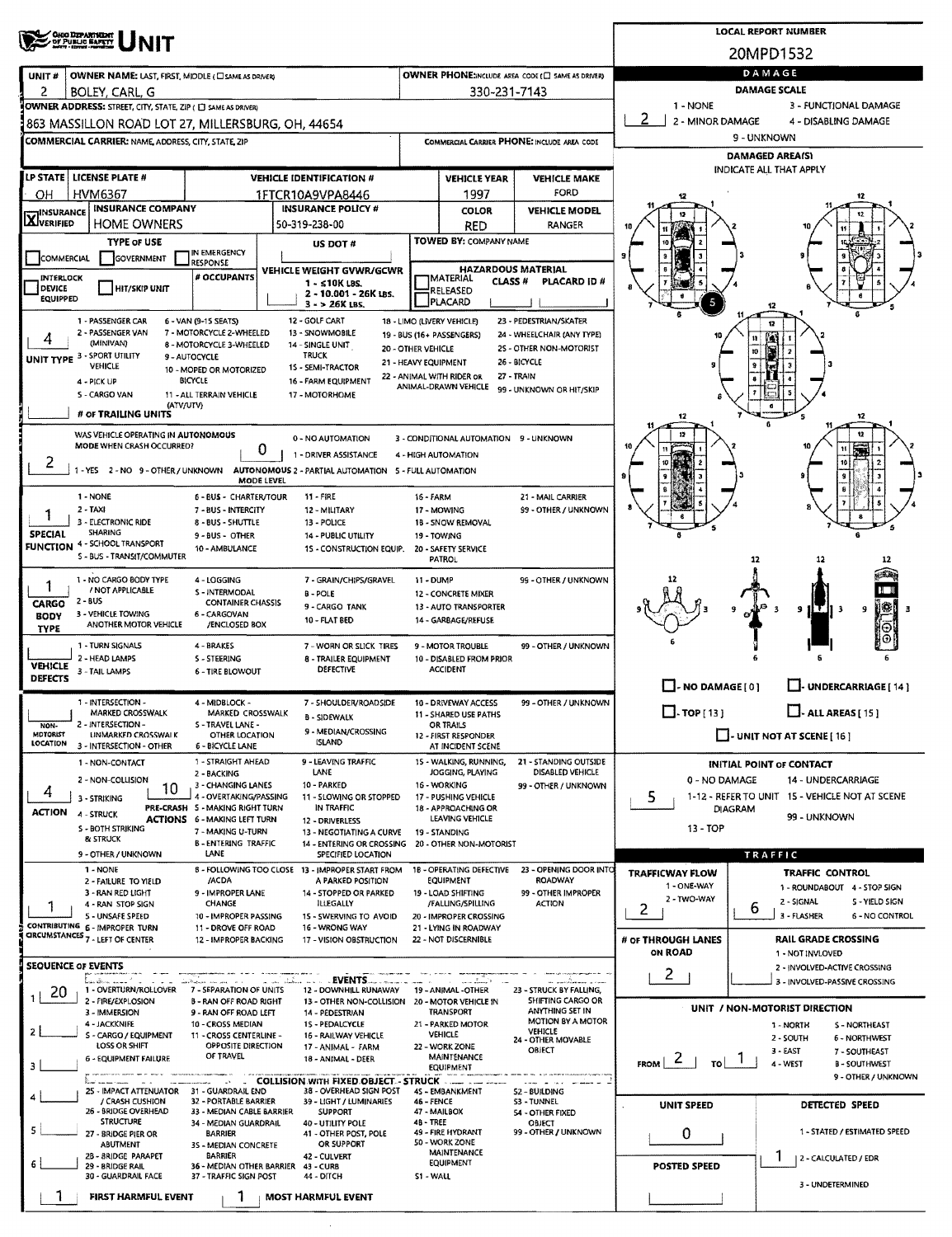|                                     | <b>CHOO DEPARTMENT</b><br>OF PUBLIC BAFETY<br><b>NIT</b>           |                                                                        | <b>LOCAL REPORT NUMBER</b>                                                     |                      |                                                    |                                                       |                                 |                                                |                                                              |  |  |  |  |  |
|-------------------------------------|--------------------------------------------------------------------|------------------------------------------------------------------------|--------------------------------------------------------------------------------|----------------------|----------------------------------------------------|-------------------------------------------------------|---------------------------------|------------------------------------------------|--------------------------------------------------------------|--|--|--|--|--|
|                                     |                                                                    |                                                                        | 20MPD1532                                                                      |                      |                                                    |                                                       |                                 |                                                |                                                              |  |  |  |  |  |
| UNIT#                               | OWNER NAME: LAST, FIRST, MIDDLE (C) SAME AS DRIVERY                |                                                                        | DAMAGE<br><b>DAMAGE SCALE</b>                                                  |                      |                                                    |                                                       |                                 |                                                |                                                              |  |  |  |  |  |
| 2                                   | BOLEY, CARL, G                                                     |                                                                        |                                                                                |                      | 330-231-7143                                       |                                                       |                                 |                                                |                                                              |  |  |  |  |  |
|                                     | OWNER ADDRESS: STREET, CITY, STATE, ZIP ( C) SAME AS DRIVERY       |                                                                        |                                                                                |                      |                                                    |                                                       | 1 - NONE<br>∣ 2                 |                                                | 3 - FUNCTIONAL DAMAGE<br>4 - DISABLING DAMAGE                |  |  |  |  |  |
|                                     | 863 MASSILLON ROAD LOT 27, MILLERSBURG, OH, 44654                  |                                                                        |                                                                                |                      |                                                    |                                                       | 2 - MINOR DAMAGE<br>9 - UNKNOWN |                                                |                                                              |  |  |  |  |  |
|                                     | <b>COMMERCIAL CARRIER: NAME, ADDRESS, CITY, STATE, ZIP</b>         |                                                                        |                                                                                |                      |                                                    | COMMERCIAL CARRIER PHONE: INCLUDE AREA CODE           | <b>DAMAGED AREA(S)</b>          |                                                |                                                              |  |  |  |  |  |
|                                     | LP STATE LICENSE PLATE #                                           |                                                                        | <b>VEHICLE IDENTIFICATION #</b>                                                |                      | <b>VEHICLE YEAR</b>                                | <b>VEHICLE MAKE</b>                                   | INDICATE ALL THAT APPLY         |                                                |                                                              |  |  |  |  |  |
| ОН                                  | <b>HVM6367</b>                                                     |                                                                        | 1FTCR10A9VPA8446                                                               |                      | 1997                                               | FORD                                                  | 12                              |                                                | 12                                                           |  |  |  |  |  |
| <b>X</b> INSURANCE                  | <b>INSURANCE COMPANY</b>                                           |                                                                        | <b>INSURANCE POLICY #</b>                                                      |                      | <b>COLOR</b>                                       | <b>VEHICLE MODEL</b>                                  |                                 |                                                |                                                              |  |  |  |  |  |
|                                     | <b>HOME OWNERS</b>                                                 |                                                                        | 50-319-238-00                                                                  |                      | RED                                                | <b>RANGER</b>                                         |                                 |                                                |                                                              |  |  |  |  |  |
|                                     | <b>TYPE or USE</b>                                                 | IN EMERGENCY                                                           | US DOT #                                                                       |                      | TOWED BY: COMPANY NAME                             |                                                       |                                 |                                                |                                                              |  |  |  |  |  |
| COMMERCIAL                          | GOVERNMENT                                                         | <b>RESPONSE</b>                                                        | VEHICLE WEIGHT GVWR/GCWR                                                       |                      |                                                    | <b>HAZARDOUS MATERIAL</b>                             |                                 |                                                |                                                              |  |  |  |  |  |
| INTERLOCK<br><b>DEVICE</b>          | <b>HIT/SKIP UNIT</b>                                               | # OCCUPANTS                                                            | 1 - ≤10K LBS.<br>2 - 10.001 - 26K LBS.                                         |                      | <b>JMATERIAL</b><br>CLASS <sup>#</sup><br>RELEASED | PLACARD ID#                                           |                                 |                                                |                                                              |  |  |  |  |  |
| <b>EQUIPPED</b>                     |                                                                    |                                                                        | $3 - 26K$ LBS.                                                                 |                      | PLACARD                                            |                                                       |                                 |                                                |                                                              |  |  |  |  |  |
|                                     | 1 - PASSENGER CAR<br>2 - PASSENGER VAN                             | 6 - VAN (9-15 SEATS)<br>7 - MOTORCYCLE 2-WHEELED                       | 12 - GOLF CART<br>13 - SNOWMOBILE                                              |                      | 18 - LIMO (LIVERY VEHICLE)                         | 23 - PEDESTRIAN/SKATER                                |                                 | 12                                             |                                                              |  |  |  |  |  |
| 4                                   | (MINIVAN)                                                          | 8 - MOTORCYCLE 3-WHEELED                                               | <b>14 - SINGLE UNIT</b>                                                        | 20 - OTHER VEHICLE   | 19 - BUS (16+ PASSENGERS)                          | 24 - WHEELCHAIR (ANY TYPE)<br>25 - OTHER NON-MOTORIST | 10                              | n<br>to                                        |                                                              |  |  |  |  |  |
|                                     | UNIT TYPE 3 - SPORT UTILITY<br>VEHICLE                             | 9 - AUTOCYCLE<br>10 - MOPED OR MOTORIZED                               | <b>TRUCK</b><br>15 - SEMI-TRACTOR                                              | 21 - HEAVY EQUIPMENT |                                                    | 26 - BICYCLE                                          |                                 |                                                |                                                              |  |  |  |  |  |
|                                     | 4 - PICK UP                                                        | <b>BICYCLE</b>                                                         | 16 - FARM EQUIPMENT                                                            |                      | 22 - ANIMAL WITH RIDER OR<br>ANIMAL-DRAWN VEHICLE  | 27 - TRAIN<br>99 - UNKNOWN OR HIT/SKIP                |                                 |                                                |                                                              |  |  |  |  |  |
|                                     | <b>S-CARGO VAN</b><br>(ATV/UTV)                                    | 11 - ALL TERRAIN VEHICLE                                               | 17 - MOTORHOME                                                                 |                      |                                                    |                                                       |                                 |                                                |                                                              |  |  |  |  |  |
|                                     | # OF TRAILING UNITS                                                |                                                                        |                                                                                |                      |                                                    |                                                       | 12                              |                                                | 12                                                           |  |  |  |  |  |
|                                     | WAS VEHICLE OPERATING IN AUTONOMOUS<br>MODE WHEN CRASH OCCURRED?   |                                                                        | 0 - NO AUTOMATION<br>0                                                         |                      | 3 - CONDITIONAL AUTOMATION 9 - UNKNOWN             |                                                       | 12                              |                                                | 12                                                           |  |  |  |  |  |
| 2                                   | 1 - YES 2 - NO 9 - OTHER / UNKNOWN                                 |                                                                        | 1 - DRIVER ASSISTANCE<br>AUTONOMOUS 2 - PARTIAL AUTOMATION 5 - FULL AUTOMATION |                      | 4 - HIGH AUTOMATION                                |                                                       |                                 |                                                |                                                              |  |  |  |  |  |
|                                     |                                                                    |                                                                        | MODE LEVEL                                                                     |                      |                                                    |                                                       |                                 |                                                |                                                              |  |  |  |  |  |
|                                     | 1 - NONE<br>$2 - TAXI$                                             | 6 - BUS - CHARTER/TOUR<br>7 - BUS - INTERCITY                          | 11 - FIRE<br>12 - MILITARY                                                     | <b>16 - FARM</b>     | 17 - MOWING                                        | 21 - MAIL CARRIER<br>99 - OTHER / UNKNOWN             |                                 |                                                |                                                              |  |  |  |  |  |
|                                     | 3 - ELECTRONIC RIDE                                                | 8 - BUS - SHUTTLE                                                      | 13 - POLICE                                                                    |                      | 18 - SNOW REMOVAL                                  |                                                       |                                 |                                                |                                                              |  |  |  |  |  |
| SPECIAL<br><b>FUNCTION</b>          | SHARING<br>4 - SCHOOL TRANSPORT                                    | 9 - BUS - OTHER<br>10 - AMBULANCE                                      | <b>14 - PUBLIC UTILITY</b><br>15 - CONSTRUCTION EQUIP.                         |                      | 19 - TOWING<br>20 - SAFETY SERVICE                 |                                                       |                                 |                                                |                                                              |  |  |  |  |  |
|                                     | S - BUS - TRANSIT/COMMUTER                                         |                                                                        |                                                                                |                      | PATROL                                             |                                                       |                                 | 12                                             |                                                              |  |  |  |  |  |
|                                     | 1 - NO CARGO BODY TYPE                                             | 4 - LOGGING                                                            | 7 - GRAIN/CHIPS/GRAVEL                                                         | 11 - DUMP            |                                                    | 99 - OTHER / UNKNOWN                                  |                                 |                                                |                                                              |  |  |  |  |  |
| CARGO                               | / NOT APPLICABLE<br>2 - BUS                                        | 5 INTERMODAL<br><b>CONTAINER CHASSIS</b>                               | <b>B-POLE</b><br>9 - CARGO TANK                                                |                      | 12 - CONCRETE MIXER<br>13 - AUTO TRANSPORTER       |                                                       |                                 |                                                |                                                              |  |  |  |  |  |
| <b>BODY</b>                         | 3 - VEHICLE TOWING<br>ANOTHER MOTOR VEHICLE                        | 6 - CARGOVAN<br>/ENCLOSED BOX                                          | <b>10 - FLAT BED</b>                                                           |                      | 14 - GARBAGE/REFUSE                                |                                                       |                                 |                                                | N₩<br>9<br>-3                                                |  |  |  |  |  |
| TYPE                                | 1 - TURN SIGNALS                                                   | 4 - BRAKES                                                             |                                                                                |                      |                                                    | 99 - OTHER / UNKNOWN                                  |                                 |                                                | Θ                                                            |  |  |  |  |  |
| <b>VEHICLE</b>                      | 2 - HEAD LAMPS                                                     | S - STEERING                                                           | 7 - WORN OR SLICK TIRES<br>8 - TRAILER EQUIPMENT                               |                      | 9 - MOTOR TROUBLE<br>10 - DISABLED FROM PRIOR      |                                                       |                                 |                                                |                                                              |  |  |  |  |  |
| <b>DEFECTS</b>                      | 3 - TAIL LAMPS                                                     | <b>6 - TIRE BLOWOUT</b>                                                | DEFECTIVE                                                                      |                      | <b>ACCIDENT</b>                                    |                                                       |                                 |                                                |                                                              |  |  |  |  |  |
|                                     | 1 - INTERSECTION -                                                 | 4 - MIDBLOCK -                                                         | 7 - SHOULDER/ROADSIDE                                                          |                      | 10 - DRIVEWAY ACCESS                               | 99 - OTHER / UNKNOWN                                  | $\Box$ - NO DAMAGE [ 0 ]        |                                                | UNDERCARRIAGE [ 14 ]                                         |  |  |  |  |  |
|                                     | MARKED CROSSWALK<br><b>2 - INTERSECTION -</b>                      | MARKED CROSSWALK                                                       | <b>B - SIDEWALK</b>                                                            |                      | 11 - SHARED USE PATHS                              |                                                       | $\Box$ -TOP[13]                 |                                                | $\Box$ - ALL AREAS [ 15 ]                                    |  |  |  |  |  |
| NON-<br><b>MDTORIST</b><br>LOCATION | <b>LINMARKED CROSSWALK</b>                                         | S-TRAVEL LANE -<br>OTHER LOCATION                                      | 9 - MEDIAN/CROSSING<br><b>ISLAND</b>                                           |                      | OR TRAILS<br>12 - FIRST RESPONDER                  |                                                       | $\Box$ - UNIT NOT AT SCENE [16] |                                                |                                                              |  |  |  |  |  |
|                                     | 3 - INTERSECTION - OTHER<br>1 - NON-CONTACT                        | 6 - BICYCLE LANE<br>1 - STRAIGHT AHEAD                                 | 9 - LEAVING TRAFFIC                                                            |                      | AT INCIDENT SCENE<br>15 - WALKING, RUNNING,        | 21 - STANDING OUTSIDE                                 |                                 |                                                |                                                              |  |  |  |  |  |
|                                     | 2 - NON-COLLISION                                                  | 2 - BACKING                                                            | LANE                                                                           |                      | JOGGING, PLAYING                                   | DISABLED VEHICLE                                      | 0 - NO DAMAGE                   |                                                | <b>INITIAL POINT OF CONTACT</b><br>14 - UNDERCARRIAGE        |  |  |  |  |  |
| 4                                   | 10<br>3 - STRIKING                                                 | 3 - CHANGING LANES<br>4 - OVERTAKING/PASSING                           | 10 - PARKED<br>11 - SLOWING OR STOPPED                                         |                      | 16 - WORKING<br>17 - PUSHING VEHICLE               | 99 - OTHER / UNKNOWN                                  | 5                               | 1-12 - REFER TO UNIT 15 - VEHICLE NOT AT SCENE |                                                              |  |  |  |  |  |
| <b>ACTION</b>                       | 4 - STRUCK                                                         | PRE-CRASH 5 - MAKING RIGHT TURN<br><b>ACTIONS 6 - MAKING LEFT TURN</b> | IN TRAFFIC<br>12 - DRIVERLESS                                                  |                      | 18 - APPROACHING OR<br>LEAVING VEHICLE             |                                                       |                                 | DIAGRAM                                        | 99 - UNKNOWN                                                 |  |  |  |  |  |
|                                     | S - BOTH STRIKING<br>& STRUCK                                      | 7 - MAKING U-TURN                                                      | 13 - NEGOTIATING A CURVE                                                       |                      | 19 - STANDING                                      |                                                       | 13 - TOP                        |                                                |                                                              |  |  |  |  |  |
|                                     | 9 - OTHER / UNKNOWN                                                | <b>B-ENTERING TRAFFIC</b><br>LANE                                      | 14 - ENTERING OR CROSSING<br>SPECIFIED LOCATION                                |                      | 20 - OTHER NON-MOTORIST                            |                                                       |                                 | TRAFFIC                                        |                                                              |  |  |  |  |  |
|                                     | 1 - NONE<br>2 - FAILURE TO YIELD                                   | /ACDA                                                                  | 8 - FOLLOWING TOO CLOSE 13 - IMPROPER START FROM<br>A PARKED POSITION          |                      | <b>1B - OPERATING DEFECTIVE</b><br>EQUIPMENT       | 23 - OPENING DOOR INTO<br><b>ROADWAY</b>              | <b>TRAFFICWAY FLOW</b>          |                                                | <b>TRAFFIC CONTROL</b>                                       |  |  |  |  |  |
|                                     | 3 - RAN RED LIGHT                                                  | 9 - IMPROPER LANE                                                      | 14 - STOPPED OR PARKED                                                         |                      | 19 - LOAD SHIFTING                                 | 99 - OTHER IMPROPER                                   | 1 - ONE WAY<br>2 - TWO-WAY      |                                                | 1 - ROUNDABOUT 4 - STOP SIGN<br>2 - SIGNAL<br>S - YIELD SIGN |  |  |  |  |  |
|                                     | 4 - RAN STOP SIGN<br>5 - UNSAFE SPEED                              | CHANGE<br>10 - IMPROPER PASSING                                        | <b>ILLEGALLY</b><br>15 - SWERVING TO AVOID                                     |                      | /FALLING/SPILLING<br>20 - IMPROPER CROSSING        | <b>ACTION</b>                                         | 2                               | ь                                              | 3 - FLASHER<br>6 - NO CONTROL                                |  |  |  |  |  |
|                                     | CONTRIBUTING 6 - IMPROPER TURN<br>CIRCUMSTANCES 7 - LEFT OF CENTER | 11 - DROVE OFF ROAD<br>12 - IMPROPER BACKING                           | 16 - WRONG WAY<br>17 - VISION OBSTRUCTION                                      |                      | 21 - LYING IN ROADWAY<br>22 - NOT DISCERNIBLE      |                                                       | # OF THROUGH LANES              |                                                | RAIL GRADE CROSSING                                          |  |  |  |  |  |
|                                     |                                                                    |                                                                        |                                                                                |                      |                                                    |                                                       | <b>ON ROAD</b>                  |                                                | 1 - NOT INVLOVED                                             |  |  |  |  |  |
|                                     | <b>SEQUENCE OF EVENTS</b>                                          |                                                                        | EVENTS                                                                         |                      |                                                    |                                                       | $2^{\circ}$                     |                                                | 2 - INVOLVED-ACTIVE CROSSING                                 |  |  |  |  |  |
| -20                                 | kasõnn aast 1.<br>1 - OVERTURN/ROLLOVER                            | 7 - SEPARATION OF UNITS                                                | 12 - DOWNHILL RUNAWAY                                                          |                      | 19 - ANIMAL -OTHER                                 | 23 - STRUCK BY FALLING,                               |                                 |                                                | 3 - INVOLVED-PASSIVE CROSSING                                |  |  |  |  |  |
|                                     | 2 - FIRE/EXPLOSION<br>3 - IMMERSION                                | <b>B-RAN OFF ROAD RIGHT</b><br>9 - RAN OFF ROAD LEFT                   | 13 - OTHER NON-COLLISION 20 - MOTOR VEHICLE IN<br>14 - PEDESTRIAN              |                      | TRANSPORT                                          | SHIFTING CARGO OR<br>ANYTHING SET IN                  |                                 |                                                | UNIT / NON-MOTORIST DIRECTION                                |  |  |  |  |  |
| $\overline{z}$                      | 4 - JACKKNIFE<br>S - CARGO / EQUIPMENT                             | 10 - CROSS MEDIAN<br>11 - CROSS CENTERLINE -                           | 15 - PEDALCYCLE<br>16 - RAILWAY VEHICLE                                        |                      | 21 - PARKED MOTOR<br>VEHICLE                       | <b>MOTION BY A MOTOR</b><br><b>VEHICLE</b>            |                                 |                                                | 1 - NORTH<br>S - NORTHEAST<br>2 - SOUTH<br>6 - NORTHWEST     |  |  |  |  |  |
|                                     | <b>LOSS OR SHIFT</b>                                               | OPPOSITE DIRECTION<br>OF TRAVEL                                        | 17 - ANIMAL - FARM                                                             |                      | 22 - WORK ZONE<br>MAINTENANCE                      | 24 - OTHER MOVABLE<br>OBJECT                          |                                 |                                                | 3 - EAST<br>7 - SOUTHEAST                                    |  |  |  |  |  |
| 3                                   | <b>6 - EQUIPMENT FAILURE</b>                                       |                                                                        | 18 - ANIMAL - DEER                                                             |                      | <b>EQUIPMENT</b>                                   |                                                       | FROM $ 2 + 70 $                 |                                                | 4 - WEST<br><b>B-SOUTHWEST</b><br>9 - OTHER / UNKNOWN        |  |  |  |  |  |
|                                     | 25 - IMPACT ATTENUATOR 31 - GUARDRAIL END                          |                                                                        | COLLISION WITH FIXED OBJECT - STRUCK -<br>38 - OVERHEAD SIGN POST              |                      | 45 - EMBANKMENT                                    | <b>S2 - BUILDING</b>                                  |                                 |                                                |                                                              |  |  |  |  |  |
|                                     | / CRASH CUSHION<br>26 - BRIDGE OVERHEAD                            | 32 - PORTABLE BARRIER<br>33 - MEDIAN CABLE BARRIER                     | 39 - LIGHT / LUMINARIES<br><b>SUPPORT</b>                                      | 46 - FENCE           | 47 - MAILBOX                                       | 53 - TUNNEL<br><b>54 - OTHER FIXED</b>                | <b>UNIT SPEED</b>               |                                                | DETECTED SPEED                                               |  |  |  |  |  |
| 5.                                  | STRUCTURE<br>27 - BRIDGE PIER OR                                   | 34 - MEDIAN GUARDRAIL<br><b>BARRIER</b>                                | 40 - UTILITY POLE<br>41 - OTHER POST, POLE                                     | 48 - TREE            | 49 - FIRE HYDRANT                                  | OBJECT<br>99 - OTHER / UNKNOWN                        | 0                               |                                                | 1 - STATED / ESTIMATED SPEED                                 |  |  |  |  |  |
|                                     | ABUTMENT                                                           | 3S - MEDIAN CONCRETE                                                   | OR SUPPORT                                                                     |                      | 50 - WORK ZONE<br><b>MAINTENANCE</b>               |                                                       |                                 |                                                |                                                              |  |  |  |  |  |
|                                     | 2B - BRIDGE PARAPET<br>29 - BRIDGE RAIL                            | <b>BARRIER</b>                                                         | 42 - CULVERT<br>36 - MEDIAN OTHER BARRIER 43 - CURB                            |                      | <b>EQUIPMENT</b>                                   |                                                       | <b>POSTED SPEED</b>             | 1                                              | 2 - CALCULATED / EDR                                         |  |  |  |  |  |
|                                     | 30 - GUARDRAIL FACE                                                | 37 - TRAFFIC SIGN POST                                                 | 44 - DITCH                                                                     | <b>51 - WALL</b>     |                                                    |                                                       |                                 |                                                | 3 - UNDETERMINED                                             |  |  |  |  |  |
|                                     | FIRST HARMFUL EVENT                                                |                                                                        | <b>MOST HARMFUL EVENT</b>                                                      |                      |                                                    |                                                       |                                 |                                                |                                                              |  |  |  |  |  |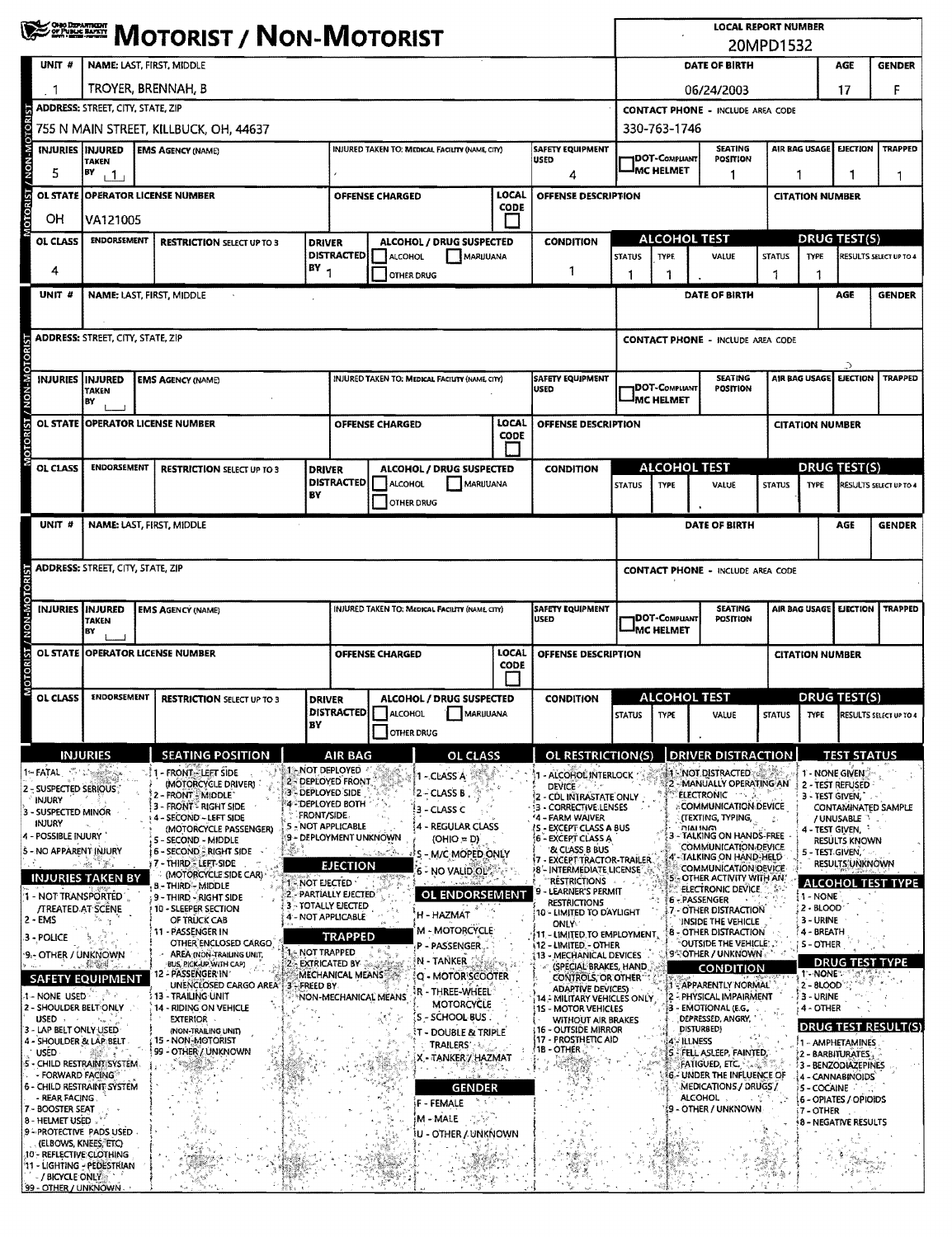|                                                        | <b>WEST MOTORIST / NON-MOTORIST</b>                                                                                               |                                                                                                                |                                      |                                                                                                 |                        |                                                      |               |                                                                         | <b>LOCAL REPORT NUMBER</b><br>20MPD1532            |                                                                                            |                                                                                 |                                                                                                 |                                                           |                    |                                                                                  |  |  |  |  |  |  |
|--------------------------------------------------------|-----------------------------------------------------------------------------------------------------------------------------------|----------------------------------------------------------------------------------------------------------------|--------------------------------------|-------------------------------------------------------------------------------------------------|------------------------|------------------------------------------------------|---------------|-------------------------------------------------------------------------|----------------------------------------------------|--------------------------------------------------------------------------------------------|---------------------------------------------------------------------------------|-------------------------------------------------------------------------------------------------|-----------------------------------------------------------|--------------------|----------------------------------------------------------------------------------|--|--|--|--|--|--|
| UNIT <sub>#</sub>                                      | NAME: LAST, FIRST, MIDDLE                                                                                                         |                                                                                                                |                                      |                                                                                                 |                        |                                                      |               |                                                                         |                                                    |                                                                                            | DATE OF BIRTH                                                                   | AGE<br><b>GENDER</b>                                                                            |                                                           |                    |                                                                                  |  |  |  |  |  |  |
|                                                        | TROYER, BRENNAH, B                                                                                                                |                                                                                                                |                                      |                                                                                                 |                        |                                                      |               |                                                                         |                                                    |                                                                                            | 06/24/2003                                                                      |                                                                                                 |                                                           | 17                 | F                                                                                |  |  |  |  |  |  |
|                                                        | ADDRESS: STREET, CITY, STATE, ZIP                                                                                                 |                                                                                                                |                                      |                                                                                                 |                        |                                                      |               |                                                                         |                                                    |                                                                                            | <b>CONTACT PHONE - INCLUDE AREA CODE</b>                                        |                                                                                                 |                                                           |                    | <b>TRAPPED</b><br>1<br>RESULTS SELECT UP TO 4<br><b>GENDER</b><br><b>TRAPPED</b> |  |  |  |  |  |  |
| <b>DTORI</b>                                           | 755 N MAIN STREET, KILLBUCK, OH, 44637                                                                                            |                                                                                                                |                                      |                                                                                                 |                        |                                                      |               |                                                                         |                                                    |                                                                                            | 330-763-1746                                                                    |                                                                                                 |                                                           |                    |                                                                                  |  |  |  |  |  |  |
| INJURIES INJURED                                       | <b>TAKEN</b>                                                                                                                      | <b>SAFETY EQUIPMENT</b><br><b>EMS AGENCY (NAME)</b><br>INJURED TAKEN TO: MEDICAL FACILITY (NAME, CITY)<br>USED |                                      |                                                                                                 |                        |                                                      |               |                                                                         |                                                    | <b>IDOT-COMPLIANT</b>                                                                      | <b>SEATING</b><br>POSITION                                                      |                                                                                                 | AIR BAG USAGE                                             | <b>EJECTION</b>    |                                                                                  |  |  |  |  |  |  |
| 5                                                      | BY<br>111                                                                                                                         | 4                                                                                                              |                                      |                                                                                                 |                        |                                                      |               |                                                                         |                                                    | MC HELMET<br>1<br>ı                                                                        |                                                                                 |                                                                                                 |                                                           | 1                  |                                                                                  |  |  |  |  |  |  |
| <b>M-NON/ ISBOIO</b>                                   | LOCAL<br>OL STATE OPERATOR LICENSE NUMBER<br><b>OFFENSE CHARGED</b><br>CODE                                                       |                                                                                                                |                                      |                                                                                                 |                        |                                                      |               | OFFENSE DESCRIPTION                                                     |                                                    | <b>CITATION NUMBER</b>                                                                     |                                                                                 |                                                                                                 |                                                           |                    |                                                                                  |  |  |  |  |  |  |
| OН                                                     | VA121005                                                                                                                          |                                                                                                                |                                      |                                                                                                 |                        |                                                      |               |                                                                         | ALCOHOL TEST                                       |                                                                                            |                                                                                 |                                                                                                 | <b>DRUG TEST(S)</b>                                       |                    |                                                                                  |  |  |  |  |  |  |
| <b>OL CLASS</b>                                        | <b>ENDORSEMENT</b>                                                                                                                | <b>RESTRICTION SELECT UP TO 3</b>                                                                              | <b>DRIVER</b>                        | ALCOHOL / DRUG SUSPECTED<br><b>CONDITION</b><br><b>DISTRACTED</b><br>MARUUANA<br>ALCOHOL        |                        |                                                      |               | <b>STATUS</b>                                                           | <b>TYPE</b>                                        | VALUE                                                                                      | <b>STATUS</b>                                                                   | <b>TYPE</b>                                                                                     |                                                           |                    |                                                                                  |  |  |  |  |  |  |
| 4                                                      |                                                                                                                                   | $BY_1$                                                                                                         |                                      |                                                                                                 | 1<br><b>OTHER DRUG</b> |                                                      |               | 1                                                                       | 1                                                  |                                                                                            | 1                                                                               |                                                                                                 |                                                           |                    |                                                                                  |  |  |  |  |  |  |
| UNIT #                                                 | NAME: LAST, FIRST, MIDDLE                                                                                                         |                                                                                                                |                                      |                                                                                                 |                        |                                                      |               |                                                                         |                                                    |                                                                                            | DATE OF BIRTH                                                                   |                                                                                                 |                                                           | AGE                |                                                                                  |  |  |  |  |  |  |
|                                                        |                                                                                                                                   |                                                                                                                |                                      |                                                                                                 |                        |                                                      |               |                                                                         |                                                    |                                                                                            |                                                                                 |                                                                                                 |                                                           |                    |                                                                                  |  |  |  |  |  |  |
|                                                        | <b>ADDRESS: STREET, CITY, STATE, ZIP</b>                                                                                          |                                                                                                                |                                      |                                                                                                 |                        |                                                      |               |                                                                         |                                                    |                                                                                            | <b>CONTACT PHONE - INCLUDE AREA CODE</b>                                        |                                                                                                 |                                                           |                    |                                                                                  |  |  |  |  |  |  |
| MOTORIST / NON-MOTOR<br>INJURIES   INJURED             |                                                                                                                                   | <b>EMS AGENCY (NAME)</b>                                                                                       |                                      |                                                                                                 |                        | <b>INJURED TAKEN TO: MEDICAL FACIUTY (NAME CITY)</b> |               | SAFETY EQUIPMENT                                                        |                                                    |                                                                                            | <b>SEATING</b>                                                                  |                                                                                                 | AIR BAG USAGE                                             | <b>EJECTION</b>    |                                                                                  |  |  |  |  |  |  |
|                                                        | TAKEN<br>BY                                                                                                                       |                                                                                                                |                                      |                                                                                                 |                        |                                                      | <b>USED</b>   |                                                                         | <b>IDOT-COMPLIANT</b><br>IMC HELMET                | POSITION                                                                                   |                                                                                 |                                                                                                 |                                                           |                    |                                                                                  |  |  |  |  |  |  |
| <b>OL STATE</b>                                        |                                                                                                                                   | <b>OPERATOR LICENSE NUMBER</b>                                                                                 |                                      |                                                                                                 | <b>OFFENSE CHARGED</b> |                                                      | LOCAL         | <b>OFFENSE DESCRIPTION</b>                                              |                                                    |                                                                                            |                                                                                 |                                                                                                 | <b>CITATION NUMBER</b>                                    |                    |                                                                                  |  |  |  |  |  |  |
|                                                        |                                                                                                                                   |                                                                                                                |                                      |                                                                                                 |                        |                                                      | CODE          |                                                                         |                                                    |                                                                                            |                                                                                 |                                                                                                 |                                                           |                    |                                                                                  |  |  |  |  |  |  |
| OL CLASS                                               | <b>ENDORSEMENT</b>                                                                                                                | <b>RESTRICTION SELECT UP TO 3</b>                                                                              | <b>DRIVER</b>                        |                                                                                                 |                        | ALCOHOL / DRUG SUSPECTED                             |               | <b>CONDITION</b>                                                        |                                                    | <b>ALCOHOL TEST</b>                                                                        |                                                                                 | <b>DRUG TEST(S)</b>                                                                             |                                                           |                    |                                                                                  |  |  |  |  |  |  |
|                                                        |                                                                                                                                   |                                                                                                                | BY                                   | <b>DISTRACTED</b>                                                                               | ALCOHOL                | MARUUANA                                             |               |                                                                         | <b>STATUS</b>                                      | <b>TYPE</b>                                                                                | VALUE                                                                           | <b>STATUS</b>                                                                                   | <b>TYPE</b>                                               |                    | RESULTS SELECT UP TO 4                                                           |  |  |  |  |  |  |
| UNIT #                                                 |                                                                                                                                   |                                                                                                                |                                      |                                                                                                 | <b>OTHER DRUG</b>      |                                                      |               |                                                                         |                                                    |                                                                                            |                                                                                 |                                                                                                 |                                                           |                    |                                                                                  |  |  |  |  |  |  |
|                                                        | NAME: LAST, FIRST, MIDDLE                                                                                                         |                                                                                                                |                                      |                                                                                                 |                        |                                                      |               |                                                                         |                                                    |                                                                                            | DATE OF BIRTH                                                                   |                                                                                                 |                                                           | AGE                | <b>GENDER</b>                                                                    |  |  |  |  |  |  |
|                                                        | <b>ADDRESS: STREET, CITY, STATE, ZIP</b>                                                                                          |                                                                                                                |                                      |                                                                                                 |                        |                                                      |               |                                                                         |                                                    |                                                                                            | <b>CONTACT PHONE - INCLUDE AREA CODE</b>                                        |                                                                                                 |                                                           |                    |                                                                                  |  |  |  |  |  |  |
|                                                        |                                                                                                                                   |                                                                                                                |                                      |                                                                                                 |                        |                                                      |               |                                                                         |                                                    |                                                                                            |                                                                                 |                                                                                                 |                                                           |                    |                                                                                  |  |  |  |  |  |  |
|                                                        | INJURIES INJURED<br>SAFETY EQUIPMENT<br>INJURED TAKEN TO: MEDICAL FACILITY (NAME CITY)<br><b>EMS AGENCY (NAME)</b><br><b>USED</b> |                                                                                                                |                                      |                                                                                                 |                        |                                                      |               |                                                                         |                                                    | DOT-Compliant                                                                              | SEATING<br><b>POSITION</b>                                                      |                                                                                                 | AIR BAG USAGE                                             |                    | <b>EJECTION TRAPPED</b>                                                          |  |  |  |  |  |  |
|                                                        | <b>TAKEN</b><br>B٧                                                                                                                |                                                                                                                |                                      |                                                                                                 |                        |                                                      |               |                                                                         | <b>JMC HELMET</b>                                  |                                                                                            |                                                                                 |                                                                                                 |                                                           |                    |                                                                                  |  |  |  |  |  |  |
| <b>CTORIST / NON-MOTORIST</b>                          |                                                                                                                                   | OL STATE OPERATOR LICENSE NUMBER                                                                               |                                      |                                                                                                 | <b>OFFENSE CHARGED</b> |                                                      | LOCAL<br>CODE | OFFENSE DESCRIPTION                                                     |                                                    |                                                                                            |                                                                                 |                                                                                                 | <b>CITATION NUMBER</b>                                    |                    |                                                                                  |  |  |  |  |  |  |
| ä,                                                     | <b>ENDORSEMENT</b>                                                                                                                |                                                                                                                |                                      |                                                                                                 |                        |                                                      |               |                                                                         |                                                    |                                                                                            |                                                                                 |                                                                                                 |                                                           |                    |                                                                                  |  |  |  |  |  |  |
| OL CLASS                                               |                                                                                                                                   | <b>RESTRICTION SELECT UP TO 3</b>                                                                              |                                      | ALCOHOL / DRUG SUSPECTED<br><b>DRIVER</b><br>DISTRACTED   ALCOHOL<br>MARUUANA                   |                        |                                                      |               | <b>CONDITION</b>                                                        | <b>ALCOHOL TEST</b><br><b>STATUS</b> TYPE<br>VALUE |                                                                                            |                                                                                 |                                                                                                 | <b>DRUG TEST(S)</b><br>STATUS TYPE RESULTS SELECT UP TO 4 |                    |                                                                                  |  |  |  |  |  |  |
|                                                        |                                                                                                                                   |                                                                                                                | BY                                   |                                                                                                 | <b>OTHER DRUG</b>      |                                                      |               |                                                                         |                                                    |                                                                                            |                                                                                 |                                                                                                 |                                                           |                    |                                                                                  |  |  |  |  |  |  |
|                                                        | <b>INJURIES</b>                                                                                                                   | <b>SEATING POSITION</b>                                                                                        | 1 - NOT DEPLOYED                     | AIR BAG                                                                                         |                        | OL CLASS                                             |               | OL RESTRICTION(S)                                                       |                                                    |                                                                                            | <b>DRIVER DISTRACTION</b>                                                       |                                                                                                 |                                                           | <b>TEST STATUS</b> |                                                                                  |  |  |  |  |  |  |
| 1- FATAL SALAR<br>2 - SUSPECTED SERIOUS                |                                                                                                                                   | $\mathbb{Z}$ 1 – FRONT ELEET SIDE<br>(MOTORCYCLE DRIVER)<br>2 - FRONT : MIDDLE                                 | 3 - DEPLOYED SIDE                    | 2 - DEPLOYED FRONT                                                                              |                        | 1 - CLASS A<br>2 - CLASS B                           |               | 1 - ALCOHOL INTERLOCK<br><b>DEVICE</b>                                  |                                                    |                                                                                            | <b>AT NOT DISTRACTED AT 180</b><br>- MANUALLY OPERATING AN<br><b>ELECTRONIC</b> |                                                                                                 | 1 - NONE GIVEN<br>2 - TEST REFUSED                        |                    |                                                                                  |  |  |  |  |  |  |
| INJURY<br>3 - SUSPECTED MINOR                          |                                                                                                                                   | 3 - FRONT <sup>E</sup> RIGHT SIDE<br>- SECOND - LEFT SIDE                                                      | 4-DEPLOYED BOTH<br><b>FRONT/SIDE</b> |                                                                                                 |                        | !3 - CLASS C                                         |               | 2 - CDL INTRASTATE ONLY<br>3 - CORRECTIVE LENSES<br>'4 - FARM WAIVER    |                                                    |                                                                                            | <b>COMMUNICATION DEVICE</b><br>(TEXTING, TYPING,                                |                                                                                                 | 3 - TEST GIVEN,                                           |                    | CONTAMINATED SAMPLE                                                              |  |  |  |  |  |  |
| INJURY<br>4 - POSSIBLE INJURY                          |                                                                                                                                   | (MOTORCYCLE PASSENGER)<br>5 - SECOND - MIDDLE                                                                  | 5 - NOT APPLICABLE                   | 9 - DEPLOYMENT UNKNOWN                                                                          |                        | - REGULAR CLASS<br>$(OHIO = D)$                      |               | <b>/S - EXCEPT CLASS A BUS</b><br>6 - EXCEPT CLASS A                    |                                                    |                                                                                            | <b>MAING</b>                                                                    | / UNUSABLE<br>4 - Test Given, <sup>1</sup><br>3 - TALKING ON HANDS-FREE<br><b>RESULTS KNOWN</b> |                                                           |                    |                                                                                  |  |  |  |  |  |  |
| Š - NO APPARENT INJURY                                 | 计磁子系                                                                                                                              | $\mathcal{R}$<br><b>6 - SECOND - RIGHT SIDE</b><br>17 - THIRD - LEET-SIDE                                      |                                      | '& CLASS B BUS<br>والأستعيري<br>- M/C MOPED ONLY<br>- EXCEPT TRACTOR-TRAILER<br><b>EJECTION</b> |                        |                                                      |               |                                                                         | -TALKING ON HAND-HELD                              | COMMUNICATION DEVICE.<br>5 - TEST GIVEN,<br><b>RESULTS'UNKNOWN</b><br>COMMUNICATION DEVICE |                                                                                 |                                                                                                 |                                                           |                    |                                                                                  |  |  |  |  |  |  |
|                                                        | <b>INJURIES TAKEN BY</b>                                                                                                          | (MOTORCYCLE SIDE CAR)<br>8 - THIRD - MIDDLE                                                                    | 1 - NOT LIECTED                      |                                                                                                 |                        | 6 - NO VALID OL'                                     |               | 8'- INTERMEDIATE LICENSE<br><b>RESTRICTIONS</b>                         |                                                    |                                                                                            | 5 - OTHER ACTIVITY WITH AN<br>ELECTRONIC DEVICE.                                |                                                                                                 |                                                           |                    | <b>ALCOHOL TEST TYPE</b>                                                         |  |  |  |  |  |  |
| '1 - NOT TRANSPORTED<br><b>/TREATED AT SCENE</b>       |                                                                                                                                   | 9 - THIRD - RIGHT SIDE<br>10 - SLEEPER SECTION                                                                 |                                      | 2 - PARTIALLY EJECTED<br>3 - TOTALLY EIECTED                                                    |                        | OL ENDORSEMENT                                       |               | - LEARNER'S PERMIT<br><b>RESTRICTIONS</b><br>10 - LIMITED TO DAYLIGHT   |                                                    |                                                                                            | 6 - PASSENGER<br>- OTHER DISTRACTION                                            |                                                                                                 | 1 - NONE<br>2 - BLOOD                                     |                    |                                                                                  |  |  |  |  |  |  |
| $2 - EMS$                                              |                                                                                                                                   | OF TRUCK CAB<br>11 - PASSENGER IN                                                                              | 4 - NOT APPLICABLE                   | <b>TRAPPED</b>                                                                                  |                        | H HAZMAT<br>M MOTORCYCLE                             |               | <b>ONLY</b><br>11 - LIMITED TO EMPLOYMENT,                              |                                                    |                                                                                            | <b>INSIDE THE VEHICLE</b><br><b>8 - OTHER DISTRACTION</b>                       |                                                                                                 | 3 - URINE<br>4 - BREATH                                   |                    |                                                                                  |  |  |  |  |  |  |
| 3 - POLICE<br>9.- OTHER / UNKNOWN                      |                                                                                                                                   | OTHER ENCLOSED CARGO<br>AREA (NON-TRAILING UNIT,                                                               | - NOT TRAPPED                        |                                                                                                 |                        | P - PASSENGER<br>N - TANKER                          |               | <b>112 - LIMITED - OTHER</b><br>13 - MECHANICAL DEVICÉS                 |                                                    |                                                                                            | OUTSIDE THE VEHICLE:<br>[95]OTHER / UNKNOWN [1]                                 |                                                                                                 | S - OTHER                                                 |                    |                                                                                  |  |  |  |  |  |  |
|                                                        | <b>SAFETY EQUIPMENT</b>                                                                                                           | BUS, PICK-UP WITH CAP)<br>12 - PASSENGER IN '<br>UNENCLOSED CARGO AREA                                         |                                      | <b>EXTRICATED BY</b> $\Im$<br>MECHANICAL MEANS                                                  |                        | <b>Q - MOTOR SCOOTER</b>                             |               | (SPECIAL BRAKES, HAND<br>CONTROLS, OR OTHER                             |                                                    |                                                                                            | <b>CONDITION</b><br>APPARENTLY NORMAL                                           |                                                                                                 | <b>T-NONE</b><br>$2 - 8$ LOOD                             |                    | <b>DRUG TEST TYPE</b>                                                            |  |  |  |  |  |  |
| 1 - NONE USED<br>2 - SHOULDER BELT ONLY                |                                                                                                                                   | i 13 - TRAILING UNIT<br>14 - RIDING ON VEHICLE                                                                 | 3-FREED BY                           |                                                                                                 | NON-MECHANICAL MEANS   | R - THREE-WHEEL<br><b>MOTORCYCLE</b>                 |               | <b>ADAPTIVE DEVICES)</b><br>14 - MILITARY VEHICLES ONLY                 |                                                    |                                                                                            | 2 - PHYSICAL IMPAIRMENT<br>3 - EMOTIONAL (E.G.                                  |                                                                                                 | <b>3 - URINE</b>                                          |                    |                                                                                  |  |  |  |  |  |  |
| $USED$ , .<br>3 - LAP BELT ONLY USED                   |                                                                                                                                   | <b>EXTERIOR</b><br>(NON-TRAILING UNIT)                                                                         |                                      |                                                                                                 |                        | S - SCHOOL BUS<br>it - Double & Triple               |               | <b>1S - MOTOR VEHICLES</b><br>WITHOUT AIR BRAKES<br>16 - OUTSIDE MIRROR |                                                    |                                                                                            | DEPRESSED, ANGRY.<br>DISTURBED)                                                 |                                                                                                 | 4 - OTHER                                                 |                    | <b>DRUG TEST RESULT(S)</b>                                                       |  |  |  |  |  |  |
| 4 - SHOULDER & LAP BELT<br><b>USED</b>                 | $\frac{1}{2}$                                                                                                                     | 15 - NON-MOTORIST<br>99 - OTHER / UNKNOWN                                                                      |                                      |                                                                                                 |                        | <b>TRAILERS'</b>                                     |               | 17 - PROSTHETIC AID<br>1B - OTHER                                       |                                                    | 4 - ILLNESS                                                                                | 5 - FELL ASLEEP, FAINTED,                                                       |                                                                                                 | 1 - AMPHETAMINES<br>2 - BARBITURATES                      |                    |                                                                                  |  |  |  |  |  |  |
| S - CHILD RESTRAINT SYSTEM.<br>- FORWARD FACING®       |                                                                                                                                   |                                                                                                                |                                      |                                                                                                 |                        | X - TANKER / HAZMAT                                  |               |                                                                         |                                                    |                                                                                            | <b>FATIGUED, ETC.</b> A<br><b>6 - UNDER THE INFLUENCE OF</b>                    |                                                                                                 | 5 - BENZODIAZEPINES<br>4 - CANNABINOIDS                   |                    |                                                                                  |  |  |  |  |  |  |
| 6 - CHILD RESTRAINT SÝSTEM<br>- REAR FACING            |                                                                                                                                   |                                                                                                                |                                      |                                                                                                 |                        | GENDER<br>一生 不                                       |               |                                                                         |                                                    |                                                                                            | MEDICATIONS / DRUGS /<br>ALCOHOL,                                               | 小型气                                                                                             | 5 - COCAINE<br>5 - OPIATES / OPIOIDS                      |                    |                                                                                  |  |  |  |  |  |  |
| 7 - BOOSTER SEAT<br>8 - HELMET USED                    |                                                                                                                                   |                                                                                                                |                                      |                                                                                                 |                        | F - FEMALE<br>M - MALE<br>-1987 P                    |               |                                                                         |                                                    |                                                                                            | - OTHER / UNKNOWN                                                               |                                                                                                 | 7 - OTHER<br><b>18 - NEGATIVE RESULTS</b>                 |                    |                                                                                  |  |  |  |  |  |  |
| 9 - PROTECTIVE PADS USED<br>(ELBOWS, KNEES, ETC)       |                                                                                                                                   |                                                                                                                |                                      |                                                                                                 |                        | IU - OTHER / UNKNOWN                                 |               |                                                                         |                                                    |                                                                                            |                                                                                 |                                                                                                 |                                                           |                    |                                                                                  |  |  |  |  |  |  |
| 10 - REFLECTIVE CLOTHING<br>11 - LIGHTING - PEDESTRIAN |                                                                                                                                   |                                                                                                                |                                      |                                                                                                 |                        |                                                      |               |                                                                         |                                                    |                                                                                            |                                                                                 |                                                                                                 |                                                           |                    |                                                                                  |  |  |  |  |  |  |
| / BICYCLE ONLY<br>99 - OTHER / UNKNOWN -               |                                                                                                                                   |                                                                                                                |                                      |                                                                                                 |                        |                                                      |               |                                                                         |                                                    |                                                                                            |                                                                                 | 12                                                                                              |                                                           |                    |                                                                                  |  |  |  |  |  |  |